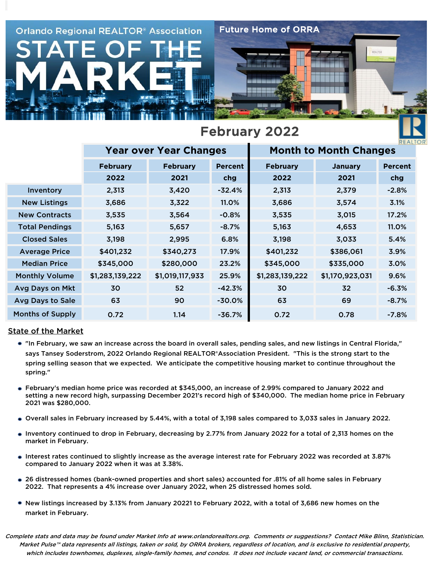

|                         | <b>Year over Year Changes</b> |                 |                | <b>Month to Month Changes</b> | REALT                                |                |  |
|-------------------------|-------------------------------|-----------------|----------------|-------------------------------|--------------------------------------|----------------|--|
|                         | <b>February</b>               | <b>February</b> | <b>Percent</b> | <b>February</b>               | <b>January</b>                       | <b>Percent</b> |  |
|                         | 2022                          | 2021            | chg            | 2022                          | 2021                                 | chg            |  |
| Inventory               | 2,313                         | 3,420           | $-32.4%$       | 2,313                         | 2,379                                | $-2.8%$        |  |
| <b>New Listings</b>     | 3,686                         | 3,322           | 11.0%          | 3,686                         | 3,574                                | 3.1%<br>17.2%  |  |
| <b>New Contracts</b>    | 3,535                         | 3,564           | $-0.8%$        | 3,535                         | 3,015<br>4,653<br>3,033<br>\$386,061 |                |  |
| <b>Total Pendings</b>   | 5,163                         | 5,657           | $-8.7\%$       | 5,163                         |                                      | 11.0%          |  |
| <b>Closed Sales</b>     | 3,198                         | 2,995           | 6.8%           | 3,198                         |                                      | 5.4%           |  |
| <b>Average Price</b>    | \$401,232                     | \$340,273       | 17.9%          | \$401,232                     |                                      | 3.9%           |  |
| <b>Median Price</b>     | \$345,000                     | \$280,000       | 23.2%          | \$345,000                     | \$335,000                            | 3.0%           |  |
| <b>Monthly Volume</b>   | \$1,283,139,222               | \$1,019,117,933 | 25.9%          | \$1,283,139,222               | \$1,170,923,031                      | 9.6%           |  |
| Avg Days on Mkt         | 30                            | 52              | $-42.3%$       | 30                            | 32                                   | $-6.3%$        |  |
| Avg Days to Sale        | 63                            |                 | $-30.0%$       | 63                            | 69                                   | $-8.7%$        |  |
| <b>Months of Supply</b> | 0.72                          | 1.14            | $-36.7%$       | 0.72                          | 0.78                                 | $-7.8%$        |  |

#### State of the Market

- "In February, we saw an increase across the board in overall sales, pending sales, and new listings in Central Florida," says Tansey Soderstrom, 2022 Orlando Regional REALTOR®Association President. "This is the strong start to the spring selling season that we expected. We anticipate the competitive housing market to continue throughout the spring."
- February's median home price was recorded at \$345,000, an increase of 2.99% compared to January 2022 and setting a new record high, surpassing December 2021's record high of \$340,000. The median home price in February 2021 was \$280,000.
- Overall sales in February increased by 5.44%, with a total of 3,198 sales compared to 3,033 sales in January 2022.
- Inventory continued to drop in February, decreasing by 2.77% from January 2022 for a total of 2,313 homes on the market in February.
- Interest rates continued to slightly increase as the average interest rate for February 2022 was recorded at 3.87% compared to January 2022 when it was at 3.38%.
- 26 distressed homes (bank-owned properties and short sales) accounted for .81% of all home sales in February 2022. That represents a 4% increase over January 2022, when 25 distressed homes sold.
- New listings increased by 3.13% from January 20221 to February 2022, with a total of 3,686 new homes on the market in February.

which includes townhomes, duplexes, single-family homes, and condos. It does not include vacant land, or commercial transactions. Complete stats and data may be found under Market Info at www.orlandorealtors.org. Comments or suggestions? Contact Mike Blinn, Statistician. Market Pulse™ data represents all listings, taken or sold, by ORRA brokers, regardless of location, and is exclusive to residential property,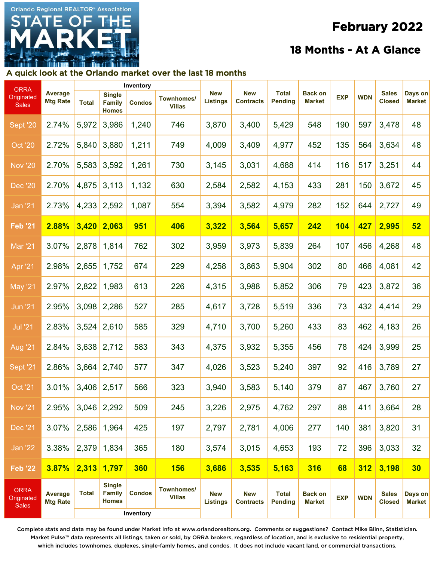# **Orlando Regional REALTOR® Association**

## **February 2022**

### **18 Months - At A Glance**

#### A quick look at the Orlando market over the last 18 months

| <b>ORRA</b>                               | <b>Average</b><br><b>Mtg Rate</b> | Inventory    |                                                |                            |                                    |                               |                                |                                |                                 |            |            |                               |                          |
|-------------------------------------------|-----------------------------------|--------------|------------------------------------------------|----------------------------|------------------------------------|-------------------------------|--------------------------------|--------------------------------|---------------------------------|------------|------------|-------------------------------|--------------------------|
| Originated<br><b>Sales</b>                |                                   | <b>Total</b> | <b>Single</b><br><b>Family</b><br><b>Homes</b> | <b>Condos</b>              | <b>Townhomes/</b><br><b>Villas</b> | <b>New</b><br><b>Listings</b> | <b>New</b><br><b>Contracts</b> | <b>Total</b><br><b>Pending</b> | <b>Back on</b><br><b>Market</b> | <b>EXP</b> | <b>WDN</b> | <b>Sales</b><br><b>Closed</b> | Days on<br><b>Market</b> |
| Sept '20                                  | 2.74%                             | 5,972        | 3,986                                          | 1,240                      | 746                                | 3,870                         | 3,400                          | 5,429                          | 548                             | 190        | 597        | 3,478                         | 48                       |
| <b>Oct '20</b>                            | 2.72%                             | 5,840        | 3,880                                          | 1,211                      | 749                                | 4,009                         | 3,409                          | 4,977                          | 452                             | 135        | 564        | 3,634                         | 48                       |
| <b>Nov '20</b>                            | 2.70%                             | 5,583        | 3,592                                          | 1,261                      | 730                                | 3,145                         | 3,031                          | 4,688                          | 414                             | 116        | 517        | 3,251                         | 44                       |
| <b>Dec '20</b>                            | 2.70%                             | 4,875        | 3,113                                          | 1,132                      | 630                                | 2,584                         | 2,582                          | 4,153                          | 433                             | 281        | 150        | 3,672                         | 45                       |
| <u> Jan '21</u>                           | 2.73%                             | 4,233        | 2,592                                          | 1,087                      | 554                                | 3,394                         | 3,582                          | 4,979                          | 282                             | 152        | 644        | 2,727                         | 49                       |
| <b>Feb '21</b>                            | 2.88%                             | 3,420        | 2,063                                          | <b>951</b>                 | 406                                | 3,322                         | 3,564                          | 5,657                          | 242                             | <b>104</b> | 427        | 2,995                         | 52                       |
| <b>Mar '21</b>                            | 3.07%                             | 2,878        | 1,814                                          | 762                        | 302                                | 3,959                         | 3,973                          | 5,839                          | 264                             | 107        | 456        | 4,268                         | 48                       |
| <b>Apr '21</b>                            | 2.98%                             | 2,655        | 1,752                                          | 674                        | 229                                | 4,258                         | 3,863                          | 5,904                          | 302                             | 80         | 466        | 4,081                         | 42                       |
| <b>May '21</b>                            | 2.97%                             | 2,822        | 1,983                                          | 613                        | 226                                | 4,315                         | 3,988                          | 5,852                          | 306                             | 79         | 423        | 3,872                         | 36                       |
| <b>Jun '21</b>                            | 2.95%                             | 3,098        | 2,286                                          | 527                        | 285                                | 4,617                         | 3,728                          | 5,519                          | 336                             | 73         | 432        | 4,414                         | 29                       |
| <b>Jul '21</b>                            | 2.83%                             | 3,524        | 2,610                                          | 585                        | 329                                | 4,710                         | 3,700                          | 5,260                          | 433                             | 83         | 462        | 4,183                         | 26                       |
| <b>Aug '21</b>                            | 2.84%                             | 3,638        | 2,712                                          | 583                        | 343                                | 4,375                         | 3,932                          | 5,355                          | 456                             | 78         | 424        | 3,999                         | 25                       |
| Sept <sup>'</sup> 21                      | 2.86%                             | 3,664        | 2,740                                          | 577                        | 347                                | 4,026                         | 3,523                          | 5,240                          | 397                             | 92         | 416        | 3,789                         | 27                       |
| <b>Oct '21</b>                            | 3.01%                             | 3,406        | 2,517                                          | 566                        | 323                                | 3,940                         | 3,583                          | 5,140                          | 379                             | 87         | 467        | 3,760                         | 27                       |
| <b>Nov '21</b>                            | 2.95%                             | 3,046        | 2,292                                          | 509                        | 245                                | 3,226                         | 2,975                          | 4,762                          | 297                             | 88         | 411        | 3,664                         | 28                       |
| Dec '21                                   | 3.07%                             | 2,586        | 1,964                                          | 425                        | 197                                | 2,797                         | 2,781                          | 4,006                          | 277                             | 140        | 381        | 3,820                         | 31                       |
| <b>Jan '22</b>                            | 3.38%                             | 2,379        | 1,834                                          | 365                        | 180                                | 3,574                         | 3,015                          | 4,653                          | 193                             | 72         | 396        | 3,033                         | 32                       |
| $Feb$ '22                                 | 3.87%                             | 2,313        | 1,797                                          | 360                        | <b>156</b>                         | 3,686                         | 3,535                          | 5,163                          | 316                             | 68         | 312        | 3,198                         | 30                       |
| <b>ORRA</b><br>Originated<br><b>Sales</b> | <b>Average</b><br><b>Mtg Rate</b> | <b>Total</b> | <b>Single</b><br><b>Family</b><br><b>Homes</b> | <b>Condos</b><br>Inventory | Townhomes/<br><b>Villas</b>        | <b>New</b><br><b>Listings</b> | <b>New</b><br><b>Contracts</b> | <b>Total</b><br><b>Pending</b> | <b>Back on</b><br><b>Market</b> | <b>EXP</b> | <b>WDN</b> | <b>Sales</b><br><b>Closed</b> | Days on<br><b>Market</b> |

Complete stats and data may be found under Market Info at www.orlandorealtors.org. Comments or suggestions? Contact Mike Blinn, Statistician. Market Pulse™ data represents all listings, taken or sold, by ORRA brokers, regardless of location, and is exclusive to residential property, which includes townhomes, duplexes, single-famly homes, and condos. It does not include vacant land, or commercial transactions.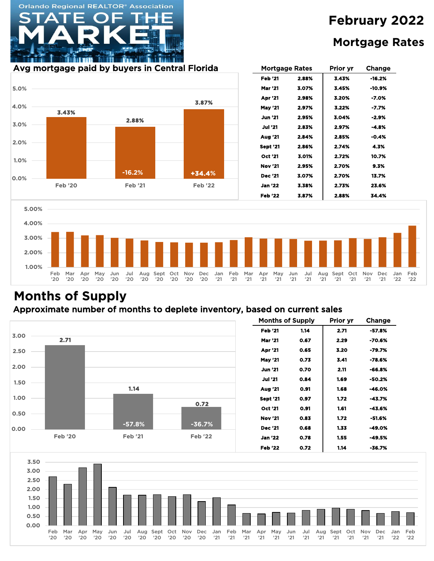# **February 2022 Mortgage Rates**

#### Avg mortgage paid by buyers in Central Florida

**Orlando Regional REALTOR® Association** 



| Mortgage Rates |       | Prior yr | Change  |  |  |
|----------------|-------|----------|---------|--|--|
| <b>Feb '21</b> | 2.88% | 3.43%    | -16.2%  |  |  |
| Mar '21        | 3.07% | 3.45%    | -10.9%  |  |  |
| <b>Apr</b> '21 | 2.98% | 3.20%    | -7.0%   |  |  |
| <b>May '21</b> | 2.97% | 3.22%    | -7.7%   |  |  |
| <b>Jun '21</b> | 2.95% | 3.04%    | -2.9%   |  |  |
| Jul '21        | 2.83% | 2.97%    | $-4.8%$ |  |  |
| Aua '21        | 2.84% | 2.85%    | -0.4%   |  |  |
| Sept '21       | 2.86% | 2.74%    | 4.3%    |  |  |
| <b>Oct '21</b> | 3.01% | 2.72%    | 10.7%   |  |  |
| <b>Nov '21</b> | 2.95% | 2.70%    | 9.3%    |  |  |
| Dec '21        | 3.07% | 2.70%    | 13.7%   |  |  |
| Jan '22        | 3.38% | 2.73%    | 23.6%   |  |  |
| Feb '22        | 3.87% | 2.88%    | 34.4%   |  |  |



# **Months of Supply**

#### Approximate number of months to deplete inventory, based on current sales



| <b>Months of Supply</b> |      | Prior yr | Change |  |  |
|-------------------------|------|----------|--------|--|--|
| Feb '21                 | 1.14 | 2.71     | -57.8% |  |  |
| <b>Mar '21</b>          | 0.67 | 2.29     | -70.6% |  |  |
| <b>Apr</b> '21          | 0.65 | 3.20     | -79.7% |  |  |
| <b>May '21</b>          | 0.73 | 3.41     | -78.6% |  |  |
| Jun '21                 | 0.70 | 2.11     | -66.8% |  |  |
| <b>Jul '21</b>          | 0.84 | 1.69     | -50.2% |  |  |
| Aug '21                 | 0.91 | 1.68     | -46.0% |  |  |
| <b>Sept '21</b>         | 0.97 | 1.72     | -43.7% |  |  |
| <b>Oct '21</b>          | 0.91 | 1.61     | -43.6% |  |  |
| Nov '21                 | 0.83 | 1.72     | -51.6% |  |  |
| <b>Dec</b> '21          | 0.68 | 1.33     | -49.0% |  |  |
| Jan '22                 | 0.78 | 1.55     | -49.5% |  |  |
| Feb '22                 | 0.72 | 1.14     | -36.7% |  |  |

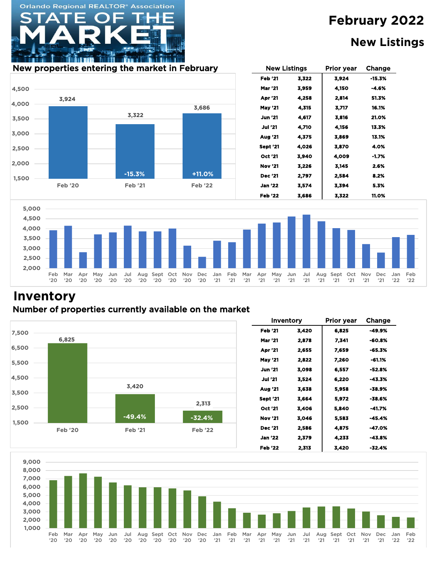#### **New Listings**

#### New properties entering the market in February The Mew Listings Prior year Change

**Orlando Regional REALTOR® Association** 







## **Inventory**

#### Number of properties currently available on the market



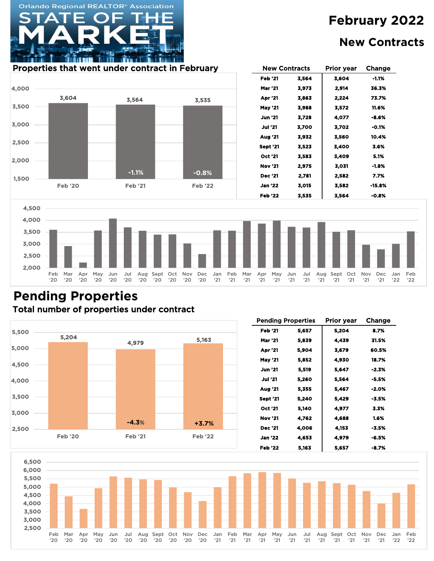New Contracts

## **New Contracts**

#### Properties that went under contract in February The Mew Contracts Prior year Change

**Orlando Regional REALTOR® Association** 



#### Total number of properties under contract **Pending Properties**



| <b>Pending Properties</b> |       | <b>Prior year</b> | Change  |  |  |
|---------------------------|-------|-------------------|---------|--|--|
| <b>Feb '21</b><br>5,657   |       | 5,204             | 8.7%    |  |  |
| Mar '21                   | 5,839 | 4,439             | 31.5%   |  |  |
| Apr '21                   | 5,904 | 3,679             | 60.5%   |  |  |
| <b>May '21</b>            | 5,852 | 4,930             | 18.7%   |  |  |
| <b>Jun</b> '21            | 5,519 | 5,647             | -2.3%   |  |  |
| <b>Jul '21</b>            | 5,260 | 5,564             | -5.5%   |  |  |
| Aug '21                   | 5,355 | 5.467             | $-2.0%$ |  |  |
| <b>Sept '21</b>           | 5,240 | 5,429             | -3.5%   |  |  |
| Oct '21                   | 5,140 | 4,977             | 3.3%    |  |  |
| <b>Nov '21</b>            | 4.762 | 4,688             | 1.6%    |  |  |
| Dec '21                   | 4,006 | 4,153             | -3.5%   |  |  |
| <b>Jan '22</b>            | 4,653 | 4,979             | -6.5%   |  |  |
| <b>Feb '22</b>            | 5,163 | 5,657             | -8.7%   |  |  |